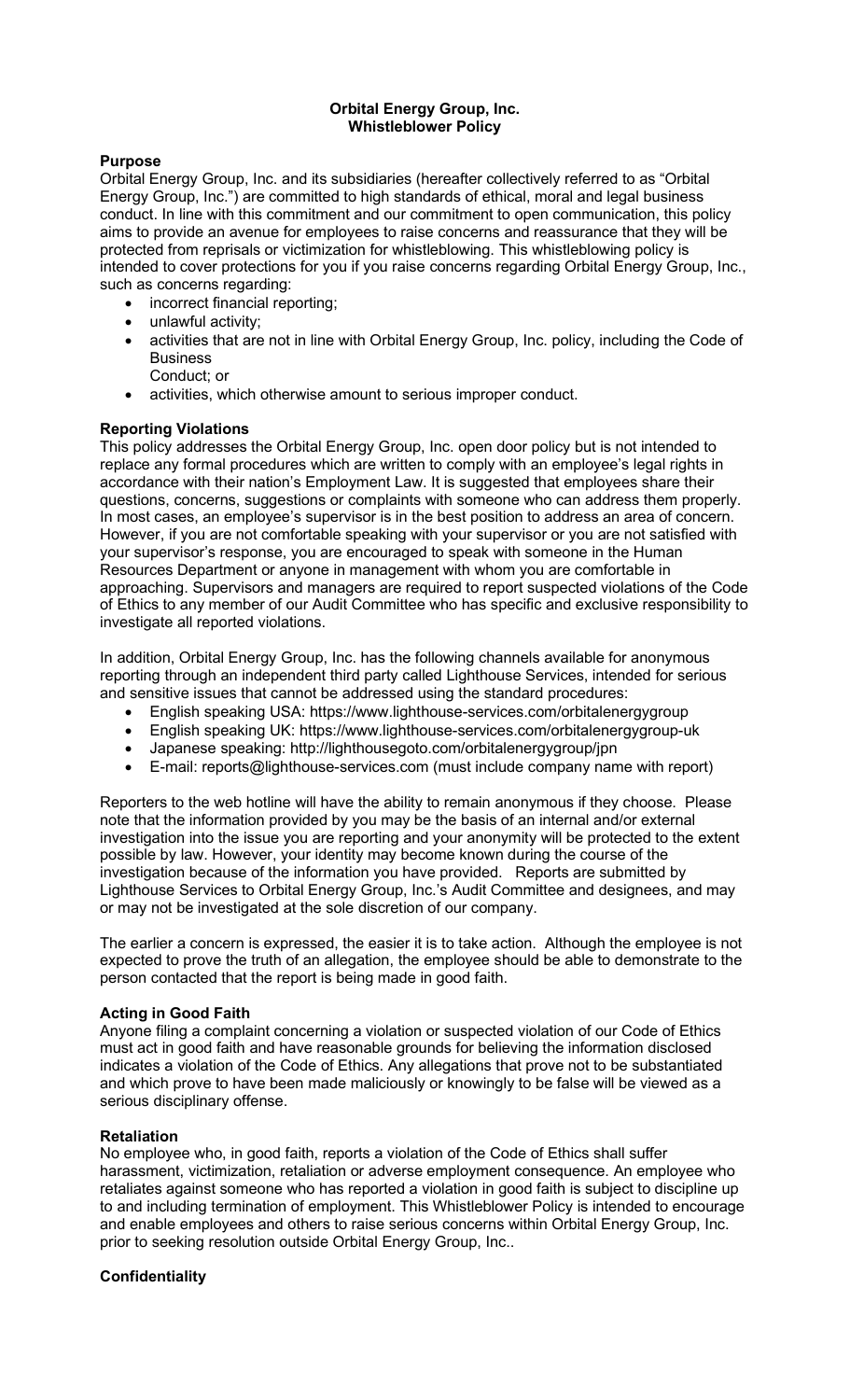# Orbital Energy Group, Inc. Whistleblower Policy

## Purpose

Orbital Energy Group, Inc. and its subsidiaries (hereafter collectively referred to as "Orbital Energy Group, Inc.") are committed to high standards of ethical, moral and legal business conduct. In line with this commitment and our commitment to open communication, this policy aims to provide an avenue for employees to raise concerns and reassurance that they will be protected from reprisals or victimization for whistleblowing. This whistleblowing policy is intended to cover protections for you if you raise concerns regarding Orbital Energy Group, Inc., such as concerns regarding:

- incorrect financial reporting;
- unlawful activity;
- activities that are not in line with Orbital Energy Group, Inc. policy, including the Code of **Business** 
	- Conduct; or
- activities, which otherwise amount to serious improper conduct.

## Reporting Violations

This policy addresses the Orbital Energy Group, Inc. open door policy but is not intended to replace any formal procedures which are written to comply with an employee's legal rights in accordance with their nation's Employment Law. It is suggested that employees share their questions, concerns, suggestions or complaints with someone who can address them properly. In most cases, an employee's supervisor is in the best position to address an area of concern. However, if you are not comfortable speaking with your supervisor or you are not satisfied with your supervisor's response, you are encouraged to speak with someone in the Human Resources Department or anyone in management with whom you are comfortable in approaching. Supervisors and managers are required to report suspected violations of the Code of Ethics to any member of our Audit Committee who has specific and exclusive responsibility to investigate all reported violations.

In addition, Orbital Energy Group, Inc. has the following channels available for anonymous reporting through an independent third party called Lighthouse Services, intended for serious and sensitive issues that cannot be addressed using the standard procedures:

- English speaking USA: https://www.lighthouse-services.com/orbitalenergygroup
- English speaking UK: https://www.lighthouse-services.com/orbitalenergygroup-uk
- Japanese speaking: http://lighthousegoto.com/orbitalenergygroup/jpn
- E-mail: reports@lighthouse-services.com (must include company name with report)

Reporters to the web hotline will have the ability to remain anonymous if they choose. Please note that the information provided by you may be the basis of an internal and/or external investigation into the issue you are reporting and your anonymity will be protected to the extent possible by law. However, your identity may become known during the course of the investigation because of the information you have provided. Reports are submitted by Lighthouse Services to Orbital Energy Group, Inc.'s Audit Committee and designees, and may or may not be investigated at the sole discretion of our company.

The earlier a concern is expressed, the easier it is to take action. Although the employee is not expected to prove the truth of an allegation, the employee should be able to demonstrate to the person contacted that the report is being made in good faith.

#### Acting in Good Faith

Anyone filing a complaint concerning a violation or suspected violation of our Code of Ethics must act in good faith and have reasonable grounds for believing the information disclosed indicates a violation of the Code of Ethics. Any allegations that prove not to be substantiated and which prove to have been made maliciously or knowingly to be false will be viewed as a serious disciplinary offense.

#### Retaliation

No employee who, in good faith, reports a violation of the Code of Ethics shall suffer harassment, victimization, retaliation or adverse employment consequence. An employee who retaliates against someone who has reported a violation in good faith is subject to discipline up to and including termination of employment. This Whistleblower Policy is intended to encourage and enable employees and others to raise serious concerns within Orbital Energy Group, Inc. prior to seeking resolution outside Orbital Energy Group, Inc..

# **Confidentiality**